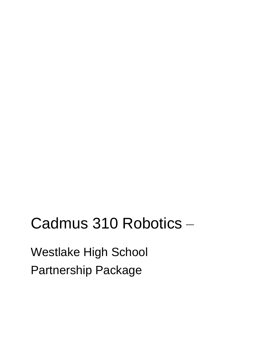# Cadmus 310 Robotics –

Westlake High School Partnership Package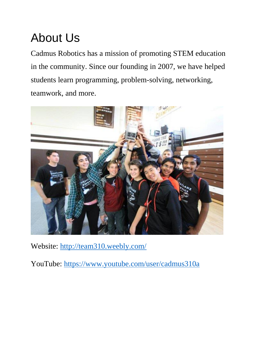## About Us

Cadmus Robotics has a mission of promoting STEM education in the community. Since our founding in 2007, we have helped students learn programming, problem-solving, networking, teamwork, and more.



Website:<http://team310.weebly.com/>

YouTube:<https://www.youtube.com/user/cadmus310a>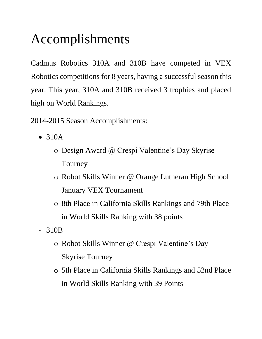## Accomplishments

Cadmus Robotics 310A and 310B have competed in VEX Robotics competitions for 8 years, having a successful season this year. This year, 310A and 310B received 3 trophies and placed high on World Rankings.

- 2014-2015 Season Accomplishments:
	- 310A
		- o Design Award @ Crespi Valentine's Day Skyrise Tourney
		- o Robot Skills Winner @ Orange Lutheran High School January VEX Tournament
		- o 8th Place in California Skills Rankings and 79th Place in World Skills Ranking with 38 points
	- 310B
		- o Robot Skills Winner @ Crespi Valentine's Day Skyrise Tourney
		- o 5th Place in California Skills Rankings and 52nd Place in World Skills Ranking with 39 Points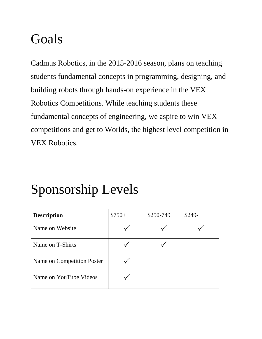### Goals

Cadmus Robotics, in the 2015-2016 season, plans on teaching students fundamental concepts in programming, designing, and building robots through hands-on experience in the VEX Robotics Competitions. While teaching students these fundamental concepts of engineering, we aspire to win VEX competitions and get to Worlds, the highest level competition in VEX Robotics.

## Sponsorship Levels

| <b>Description</b>         | $$750+$ | \$250-749 | $$249-$ |
|----------------------------|---------|-----------|---------|
| Name on Website            |         |           |         |
| Name on T-Shirts           |         |           |         |
| Name on Competition Poster |         |           |         |
| Name on YouTube Videos     |         |           |         |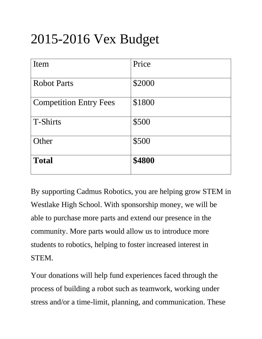## 2015-2016 Vex Budget

| Item                          | Price  |
|-------------------------------|--------|
| <b>Robot Parts</b>            | \$2000 |
| <b>Competition Entry Fees</b> | \$1800 |
| <b>T-Shirts</b>               | \$500  |
| Other                         | \$500  |
| <b>Total</b>                  | \$4800 |

By supporting Cadmus Robotics, you are helping grow STEM in Westlake High School. With sponsorship money, we will be able to purchase more parts and extend our presence in the community. More parts would allow us to introduce more students to robotics, helping to foster increased interest in STEM.

Your donations will help fund experiences faced through the process of building a robot such as teamwork, working under stress and/or a time-limit, planning, and communication. These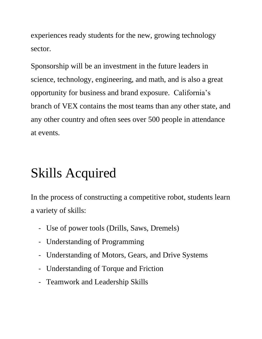experiences ready students for the new, growing technology sector.

Sponsorship will be an investment in the future leaders in science, technology, engineering, and math, and is also a great opportunity for business and brand exposure. California's branch of VEX contains the most teams than any other state, and any other country and often sees over 500 people in attendance at events.

## Skills Acquired

In the process of constructing a competitive robot, students learn a variety of skills:

- Use of power tools (Drills, Saws, Dremels)
- Understanding of Programming
- Understanding of Motors, Gears, and Drive Systems
- Understanding of Torque and Friction
- Teamwork and Leadership Skills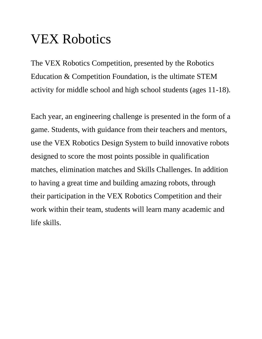## VEX Robotics

The VEX Robotics Competition, presented by the Robotics Education & Competition Foundation, is the ultimate STEM activity for middle school and high school students (ages 11-18).

Each year, an engineering challenge is presented in the form of a game. Students, with guidance from their teachers and mentors, use the VEX Robotics Design System to build innovative robots designed to score the most points possible in qualification matches, elimination matches and Skills Challenges. In addition to having a great time and building amazing robots, through their participation in the VEX Robotics Competition and their work within their team, students will learn many academic and life skills.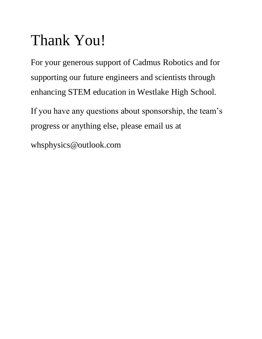# Thank You!

For your generous support of Cadmus Robotics and for supporting our future engineers and scientists through enhancing STEM education in Westlake High School.

If you have any questions about sponsorship, the team's progress or anything else, please email us at

whsphysics@outlook.com